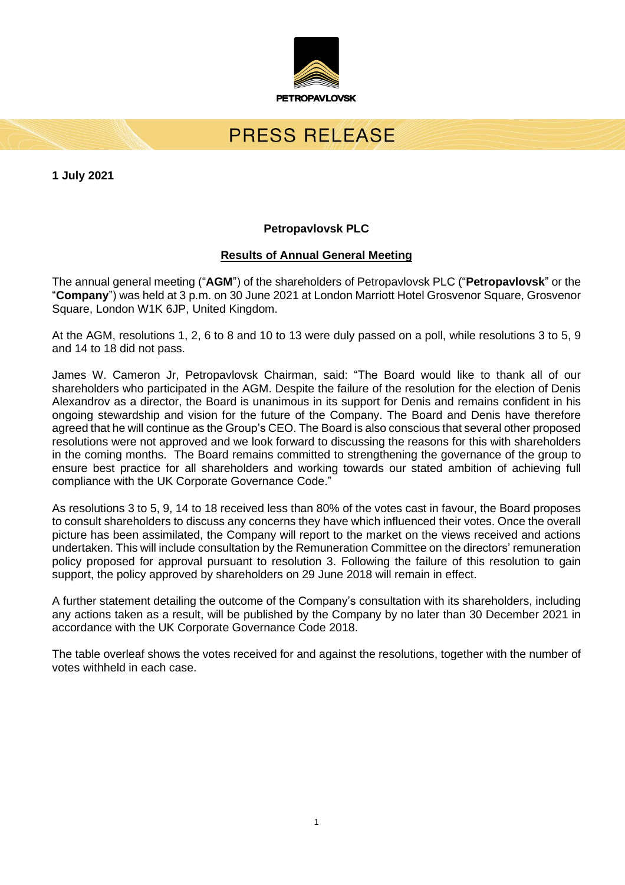

# PRESS RELEASE

**1 July 2021**

# **Petropavlovsk PLC**

# **Results of Annual General Meeting**

The annual general meeting ("**AGM**") of the shareholders of Petropavlovsk PLC ("**Petropavlovsk**" or the "**Company**") was held at 3 p.m. on 30 June 2021 at London Marriott Hotel Grosvenor Square, Grosvenor Square, London W1K 6JP, United Kingdom.

At the AGM, resolutions 1, 2, 6 to 8 and 10 to 13 were duly passed on a poll, while resolutions 3 to 5, 9 and 14 to 18 did not pass.

James W. Cameron Jr, Petropavlovsk Chairman, said: "The Board would like to thank all of our shareholders who participated in the AGM. Despite the failure of the resolution for the election of Denis Alexandrov as a director, the Board is unanimous in its support for Denis and remains confident in his ongoing stewardship and vision for the future of the Company. The Board and Denis have therefore agreed that he will continue as the Group's CEO. The Board is also conscious that several other proposed resolutions were not approved and we look forward to discussing the reasons for this with shareholders in the coming months. The Board remains committed to strengthening the governance of the group to ensure best practice for all shareholders and working towards our stated ambition of achieving full compliance with the UK Corporate Governance Code."

As resolutions 3 to 5, 9, 14 to 18 received less than 80% of the votes cast in favour, the Board proposes to consult shareholders to discuss any concerns they have which influenced their votes. Once the overall picture has been assimilated, the Company will report to the market on the views received and actions undertaken. This will include consultation by the Remuneration Committee on the directors' remuneration policy proposed for approval pursuant to resolution 3. Following the failure of this resolution to gain support, the policy approved by shareholders on 29 June 2018 will remain in effect.

A further statement detailing the outcome of the Company's consultation with its shareholders, including any actions taken as a result, will be published by the Company by no later than 30 December 2021 in accordance with the UK Corporate Governance Code 2018.

The table overleaf shows the votes received for and against the resolutions, together with the number of votes withheld in each case.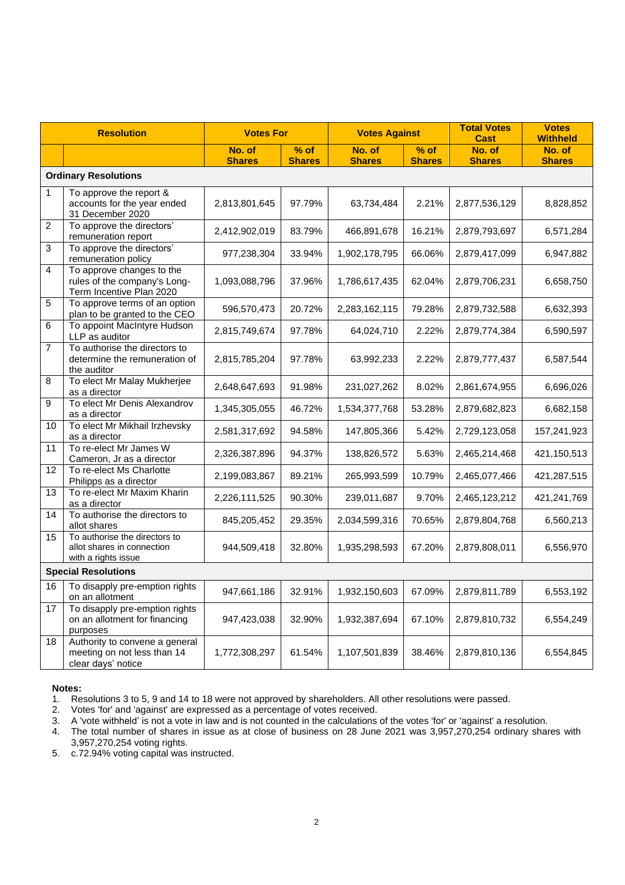| <b>Resolution</b>           |                                                                                       | <b>Votes For</b>        |                         | <b>Votes Against</b>    |                         | <b>Total Votes</b><br><b>Cast</b> | <b>Votes</b><br><b>Withheld</b> |
|-----------------------------|---------------------------------------------------------------------------------------|-------------------------|-------------------------|-------------------------|-------------------------|-----------------------------------|---------------------------------|
|                             |                                                                                       | No. of<br><b>Shares</b> | $%$ of<br><b>Shares</b> | No. of<br><b>Shares</b> | $%$ of<br><b>Shares</b> | No. of<br><b>Shares</b>           | No. of<br><b>Shares</b>         |
| <b>Ordinary Resolutions</b> |                                                                                       |                         |                         |                         |                         |                                   |                                 |
| $\mathbf{1}$                | To approve the report &<br>accounts for the year ended<br>31 December 2020            | 2,813,801,645           | 97.79%                  | 63,734,484              | 2.21%                   | 2,877,536,129                     | 8,828,852                       |
| $\overline{c}$              | To approve the directors'<br>remuneration report                                      | 2,412,902,019           | 83.79%                  | 466,891,678             | 16.21%                  | 2,879,793,697                     | 6,571,284                       |
| $\mathbf{3}$                | To approve the directors'<br>remuneration policy                                      | 977,238,304             | 33.94%                  | 1,902,178,795           | 66.06%                  | 2,879,417,099                     | 6,947,882                       |
| $\overline{4}$              | To approve changes to the<br>rules of the company's Long-<br>Term Incentive Plan 2020 | 1,093,088,796           | 37.96%                  | 1,786,617,435           | 62.04%                  | 2,879,706,231                     | 6,658,750                       |
| 5                           | To approve terms of an option<br>plan to be granted to the CEO                        | 596,570,473             | 20.72%                  | 2,283,162,115           | 79.28%                  | 2,879,732,588                     | 6,632,393                       |
| 6                           | To appoint MacIntyre Hudson<br>LLP as auditor                                         | 2,815,749,674           | 97.78%                  | 64,024,710              | 2.22%                   | 2,879,774,384                     | 6,590,597                       |
| $\overline{7}$              | To authorise the directors to<br>determine the remuneration of<br>the auditor         | 2,815,785,204           | 97.78%                  | 63,992,233              | 2.22%                   | 2,879,777,437                     | 6,587,544                       |
| 8                           | To elect Mr Malay Mukherjee<br>as a director                                          | 2,648,647,693           | 91.98%                  | 231,027,262             | 8.02%                   | 2,861,674,955                     | 6,696,026                       |
| 9                           | To elect Mr Denis Alexandrov<br>as a director                                         | 1,345,305,055           | 46.72%                  | 1,534,377,768           | 53.28%                  | 2,879,682,823                     | 6,682,158                       |
| 10                          | To elect Mr Mikhail Irzhevsky<br>as a director                                        | 2,581,317,692           | 94.58%                  | 147,805,366             | 5.42%                   | 2,729,123,058                     | 157,241,923                     |
| 11                          | To re-elect Mr James W<br>Cameron, Jr as a director                                   | 2,326,387,896           | 94.37%                  | 138,826,572             | 5.63%                   | 2,465,214,468                     | 421,150,513                     |
| 12                          | To re-elect Ms Charlotte<br>Philipps as a director                                    | 2,199,083,867           | 89.21%                  | 265,993,599             | 10.79%                  | 2,465,077,466                     | 421,287,515                     |
| 13                          | To re-elect Mr Maxim Kharin<br>as a director                                          | 2,226,111,525           | 90.30%                  | 239,011,687             | 9.70%                   | 2,465,123,212                     | 421,241,769                     |
| 14                          | To authorise the directors to<br>allot shares                                         | 845,205,452             | 29.35%                  | 2,034,599,316           | 70.65%                  | 2,879,804,768                     | 6,560,213                       |
| 15                          | To authorise the directors to<br>allot shares in connection<br>with a rights issue    | 944,509,418             | 32.80%                  | 1,935,298,593           | 67.20%                  | 2,879,808,011                     | 6,556,970                       |
| <b>Special Resolutions</b>  |                                                                                       |                         |                         |                         |                         |                                   |                                 |
| 16                          | To disapply pre-emption rights<br>on an allotment                                     | 947,661,186             | 32.91%                  | 1,932,150,603           | 67.09%                  | 2,879,811,789                     | 6,553,192                       |
| 17                          | To disapply pre-emption rights<br>on an allotment for financing<br>purposes           | 947,423,038             | 32.90%                  | 1,932,387,694           | 67.10%                  | 2,879,810,732                     | 6,554,249                       |
| 18                          | Authority to convene a general<br>meeting on not less than 14<br>clear days' notice   | 1,772,308,297           | 61.54%                  | 1,107,501,839           | 38.46%                  | 2,879,810,136                     | 6,554,845                       |

#### **Notes:**

1. Resolutions 3 to 5, 9 and 14 to 18 were not approved by shareholders. All other resolutions were passed.

2. Votes 'for' and 'against' are expressed as a percentage of votes received.

3. A 'vote withheld' is not a vote in law and is not counted in the calculations of the votes 'for' or 'against' a resolution.

4. The total number of shares in issue as at close of business on 28 June 2021 was 3,957,270,254 ordinary shares with 3,957,270,254 voting rights.

5. c.72.94% voting capital was instructed.